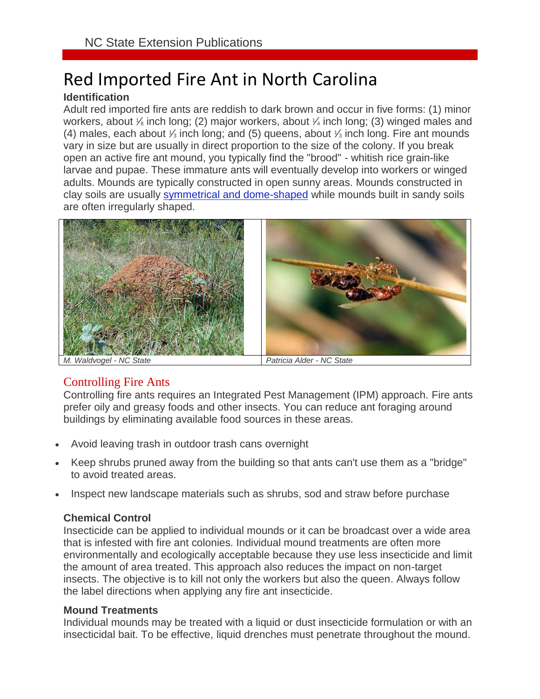# Red Imported Fire Ant in North Carolina

### **Identification**

Adult red imported fire ants are reddish to dark brown and occur in five forms: (1) minor workers, about 1/8 inch long; (2) major workers, about 1/4 inch long; (3) winged males and (4) males, each about  $\frac{1}{3}$  inch long; and (5) queens, about  $\frac{1}{3}$  inch long. Fire ant mounds vary in size but are usually in direct proportion to the size of the colony. If you break open an active fire ant mound, you typically find the "brood" - whitish rice grain-like larvae and pupae. These immature ants will eventually develop into workers or winged adults. Mounds are typically constructed in open sunny areas. Mounds constructed in clay soils are usually [symmetrical and dome-shaped](https://content.ces.ncsu.edu/red-imported-fire-ant-in-north-carolina#img_dialog_6941) while mounds built in sandy soils are often irregularly shaped.



## Controlling Fire Ants

Controlling fire ants requires an Integrated Pest Management (IPM) approach. Fire ants prefer oily and greasy foods and other insects. You can reduce ant foraging around buildings by eliminating available food sources in these areas.

- Avoid leaving trash in [outdoor trash cans](https://content.ces.ncsu.edu/red-imported-fire-ant-in-north-carolina#img_dialog_6943) overnight
- Keep shrubs pruned away from the building so that ants can't use them as a "bridge" to avoid treated areas.
- Inspect new landscape materials such as shrubs, sod and straw before purchase

#### **Chemical Control**

Insecticide can be applied to individual mounds or it can be broadcast over a wide area that is infested with fire ant colonies. Individual mound treatments are often more environmentally and ecologically acceptable because they use less insecticide and limit the amount of area treated. This approach also reduces the impact on non-target insects. The objective is to kill not only the workers but also the queen. Always follow the label directions when applying any fire ant insecticide.

#### **Mound Treatments**

Individual mounds may be treated with a liquid or dust insecticide formulation or with an insecticidal bait. To be effective, liquid drenches must penetrate throughout the mound.